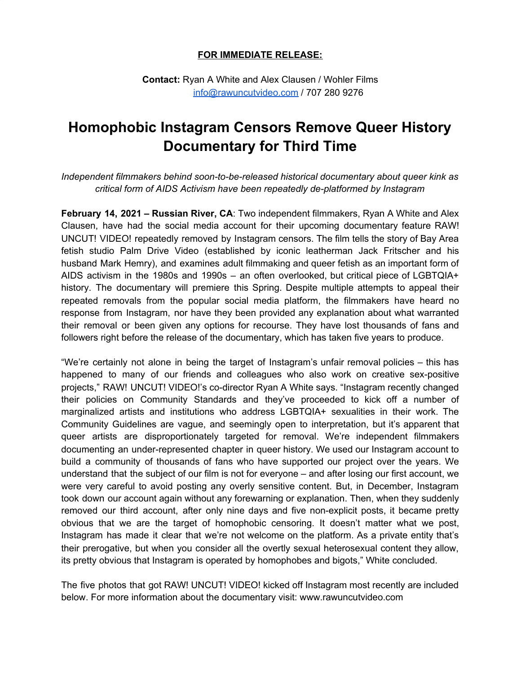## **FOR IMMEDIATE RELEASE:**

**Contact:** Ryan A White and Alex Clausen / Wohler Films [info@rawuncutvideo.com](mailto:info@rawuncutvideo.com) / 707 280 9276

## **Homophobic Instagram Censors Remove Queer History Documentary for Third Time**

*Independent filmmakers behind soon-to-be-released historical documentary about queer kink as critical form of AIDS Activism have been repeatedly de-platformed by Instagram*

**February 14, 2021** *–* **Russian River, CA**: Two independent filmmakers, Ryan A White and Alex Clausen, have had the social media account for their upcoming documentary feature RAW! UNCUT! VIDEO! repeatedly removed by Instagram censors. The film tells the story of Bay Area fetish studio Palm Drive Video (established by iconic leatherman Jack Fritscher and his husband Mark Hemry), and examines adult filmmaking and queer fetish as an important form of AIDS activism in the 1980s and 1990s – an often overlooked, but critical piece of LGBTQIA+ history. The documentary will premiere this Spring. Despite multiple attempts to appeal their repeated removals from the popular social media platform, the filmmakers have heard no response from Instagram, nor have they been provided any explanation about what warranted their removal or been given any options for recourse. They have lost thousands of fans and followers right before the release of the documentary, which has taken five years to produce.

"We're certainly not alone in being the target of Instagram's unfair removal policies – this has happened to many of our friends and colleagues who also work on creative sex-positive projects," RAW! UNCUT! VIDEO!'s co-director Ryan A White says. "Instagram recently changed their policies on Community Standards and they've proceeded to kick off a number of marginalized artists and institutions who address LGBTQIA+ sexualities in their work. The Community Guidelines are vague, and seemingly open to interpretation, but it's apparent that queer artists are disproportionately targeted for removal. We're independent filmmakers documenting an under-represented chapter in queer history. We used our Instagram account to build a community of thousands of fans who have supported our project over the years. We understand that the subject of our film is not for everyone – and after losing our first account, we were very careful to avoid posting any overly sensitive content. But, in December, Instagram took down our account again without any forewarning or explanation. Then, when they suddenly removed our third account, after only nine days and five non-explicit posts, it became pretty obvious that we are the target of homophobic censoring. It doesn't matter what we post, Instagram has made it clear that we're not welcome on the platform. As a private entity that's their prerogative, but when you consider all the overtly sexual heterosexual content they allow, its pretty obvious that Instagram is operated by homophobes and bigots," White concluded.

The five photos that got RAW! UNCUT! VIDEO! kicked off Instagram most recently are included below. For more information about the documentary visit: www.rawuncutvideo.com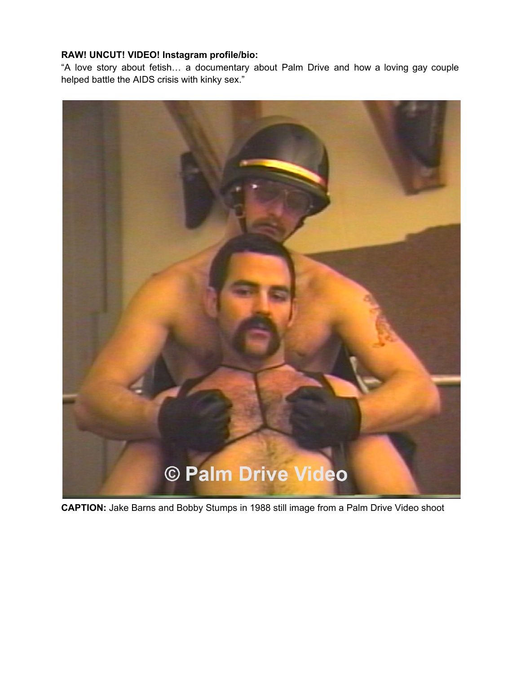## **RAW! UNCUT! VIDEO! Instagram profile/bio:**

"A love story about fetish… a documentary about Palm Drive and how a loving gay couple helped battle the AIDS crisis with kinky sex."



**CAPTION:** Jake Barns and Bobby Stumps in 1988 still image from a Palm Drive Video shoot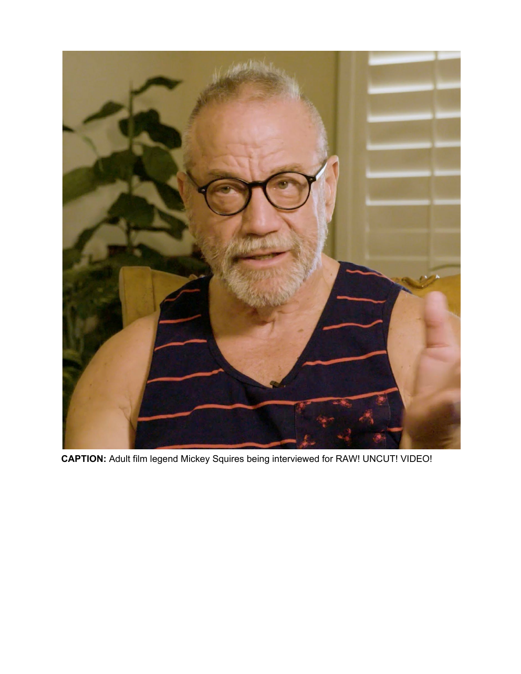

**CAPTION:** Adult film legend Mickey Squires being interviewed for RAW! UNCUT! VIDEO!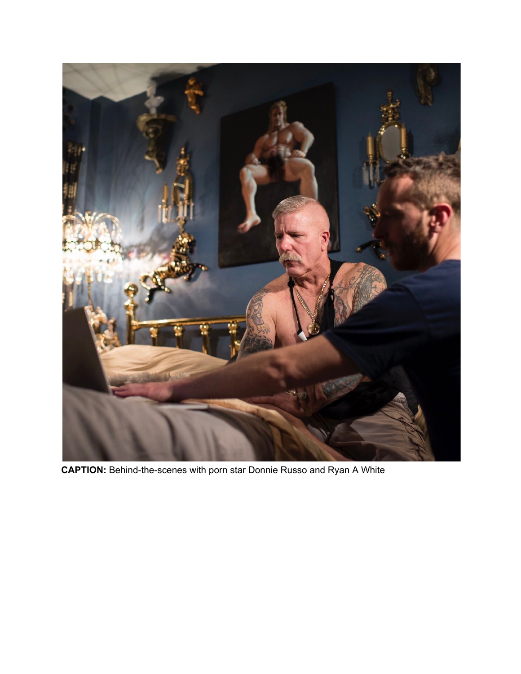

**CAPTION:** Behind-the-scenes with porn star Donnie Russo and Ryan A White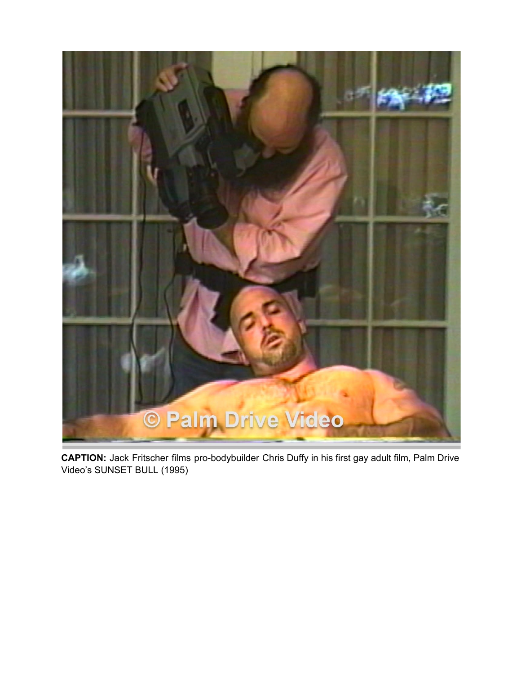

**CAPTION:** Jack Fritscher films pro-bodybuilder Chris Duffy in his first gay adult film, Palm Drive Video's SUNSET BULL (1995)